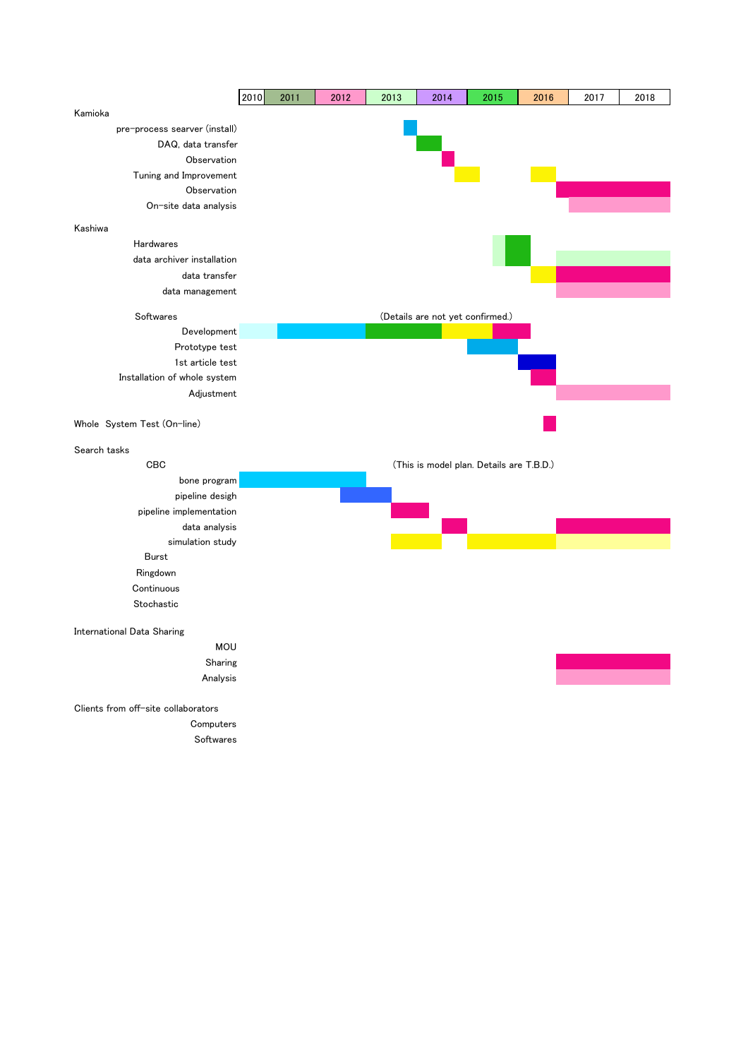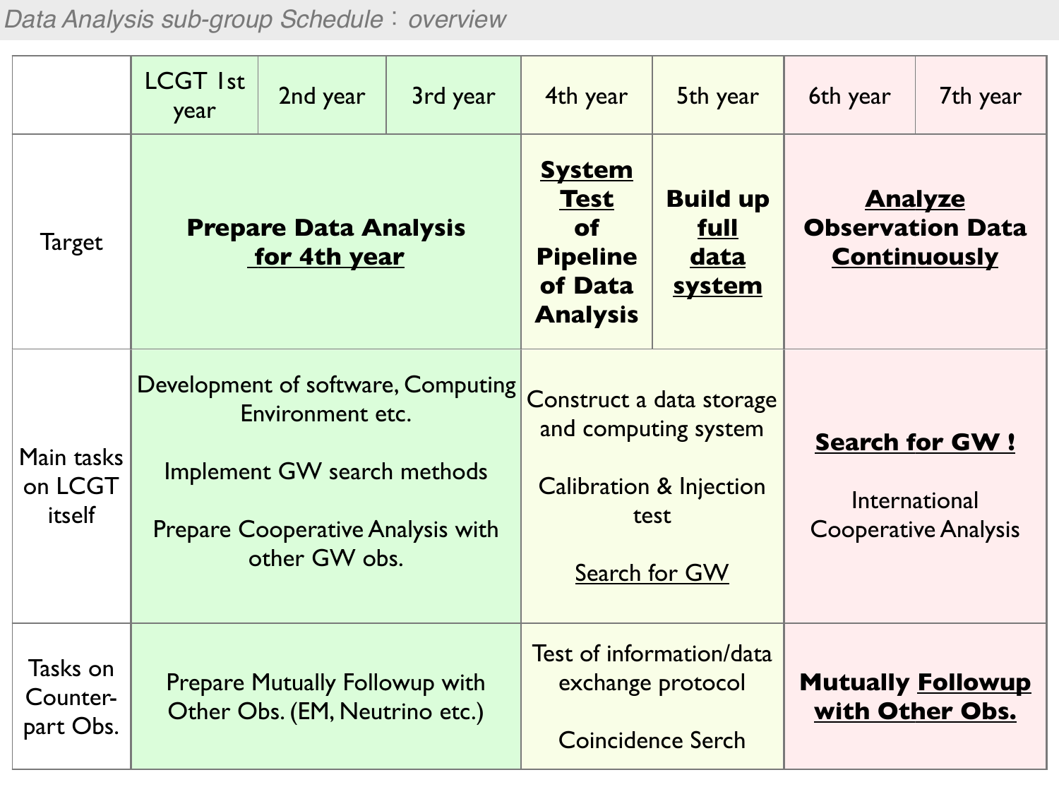*Data Analysis sub-group Schedule*:*overview*

|                                   | <b>LCGT Ist</b><br>year                                                                                                                            | 2nd year                                                                | 3rd year | 4th year                                                                                   | 5th year                                                                                                        | 6th year                                                              | 7th year |
|-----------------------------------|----------------------------------------------------------------------------------------------------------------------------------------------------|-------------------------------------------------------------------------|----------|--------------------------------------------------------------------------------------------|-----------------------------------------------------------------------------------------------------------------|-----------------------------------------------------------------------|----------|
| Target                            | <b>Prepare Data Analysis</b><br>for 4th year                                                                                                       |                                                                         |          | <b>System</b><br><b>Test</b><br><b>of</b><br><b>Pipeline</b><br>of Data<br><b>Analysis</b> | <b>Build up</b><br>full<br><u>data</u><br>system                                                                | <b>Analyze</b><br><b>Observation Data</b><br><b>Continuously</b>      |          |
| Main tasks<br>on LCGT<br>itself   | Development of software, Computing<br>Environment etc.<br>Implement GW search methods<br><b>Prepare Cooperative Analysis with</b><br>other GW obs. |                                                                         |          |                                                                                            | Construct a data storage<br>and computing system<br><b>Calibration &amp; Injection</b><br>test<br>Search for GW | <b>Search for GW!</b><br>International<br><b>Cooperative Analysis</b> |          |
| Tasks on<br>Counter-<br>part Obs. |                                                                                                                                                    | <b>Prepare Mutually Followup with</b><br>Other Obs. (EM, Neutrino etc.) |          | Test of information/data<br>exchange protocol<br>Coincidence Serch                         |                                                                                                                 | <b>Mutually Followup</b><br>with Other Obs.                           |          |